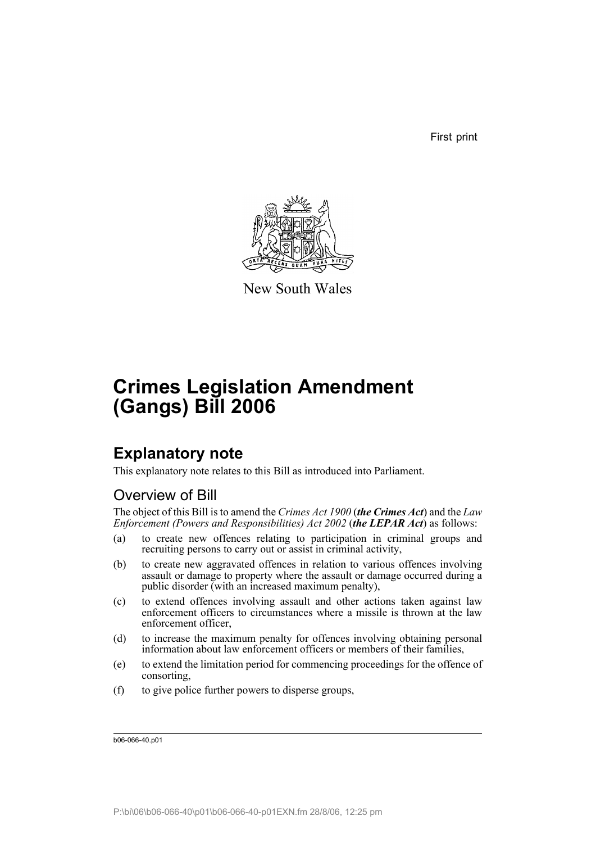First print



New South Wales

# **Crimes Legislation Amendment (Gangs) Bill 2006**

# **Explanatory note**

This explanatory note relates to this Bill as introduced into Parliament.

## Overview of Bill

The object of this Bill is to amend the *Crimes Act 1900* (*the Crimes Act*) and the *Law Enforcement (Powers and Responsibilities) Act 2002* (*the LEPAR Act*) as follows:

- (a) to create new offences relating to participation in criminal groups and recruiting persons to carry out or assist in criminal activity,
- (b) to create new aggravated offences in relation to various offences involving assault or damage to property where the assault or damage occurred during a public disorder (with an increased maximum penalty),
- (c) to extend offences involving assault and other actions taken against law enforcement officers to circumstances where a missile is thrown at the law enforcement officer,
- (d) to increase the maximum penalty for offences involving obtaining personal information about law enforcement officers or members of their families,
- (e) to extend the limitation period for commencing proceedings for the offence of consorting,
- (f) to give police further powers to disperse groups,

b06-066-40.p01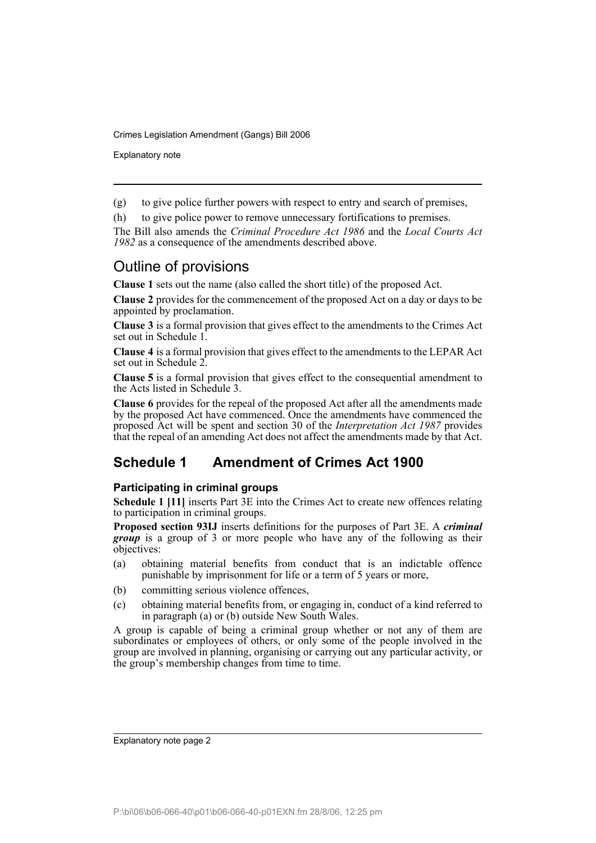Explanatory note

(g) to give police further powers with respect to entry and search of premises,

(h) to give police power to remove unnecessary fortifications to premises.

The Bill also amends the *Criminal Procedure Act 1986* and the *Local Courts Act 1982* as a consequence of the amendments described above.

## Outline of provisions

**Clause 1** sets out the name (also called the short title) of the proposed Act.

**Clause 2** provides for the commencement of the proposed Act on a day or days to be appointed by proclamation.

**Clause 3** is a formal provision that gives effect to the amendments to the Crimes Act set out in Schedule 1.

**Clause 4** is a formal provision that gives effect to the amendments to the LEPAR Act set out in Schedule 2.

**Clause 5** is a formal provision that gives effect to the consequential amendment to the Acts listed in Schedule 3.

**Clause 6** provides for the repeal of the proposed Act after all the amendments made by the proposed Act have commenced. Once the amendments have commenced the proposed Act will be spent and section 30 of the *Interpretation Act 1987* provides that the repeal of an amending Act does not affect the amendments made by that Act.

## **Schedule 1 Amendment of Crimes Act 1900**

### **Participating in criminal groups**

**Schedule 1 [11]** inserts Part 3E into the Crimes Act to create new offences relating to participation in criminal groups.

**Proposed section 93IJ** inserts definitions for the purposes of Part 3E. A *criminal group* is a group of 3 or more people who have any of the following as their objectives:

- (a) obtaining material benefits from conduct that is an indictable offence punishable by imprisonment for life or a term of 5 years or more,
- (b) committing serious violence offences,
- (c) obtaining material benefits from, or engaging in, conduct of a kind referred to in paragraph (a) or (b) outside New South Wales.

A group is capable of being a criminal group whether or not any of them are subordinates or employees of others, or only some of the people involved in the group are involved in planning, organising or carrying out any particular activity, or the group's membership changes from time to time.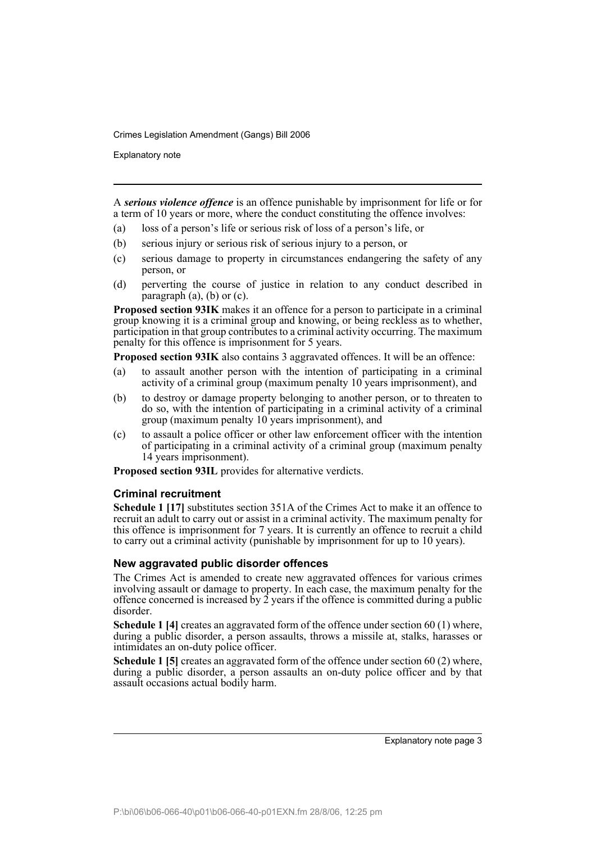Explanatory note

A *serious violence offence* is an offence punishable by imprisonment for life or for a term of 10 years or more, where the conduct constituting the offence involves:

- (a) loss of a person's life or serious risk of loss of a person's life, or
- (b) serious injury or serious risk of serious injury to a person, or
- (c) serious damage to property in circumstances endangering the safety of any person, or
- (d) perverting the course of justice in relation to any conduct described in  $paragnh(a), (b)$  or  $(c)$ .

**Proposed section 93IK** makes it an offence for a person to participate in a criminal group knowing it is a criminal group and knowing, or being reckless as to whether, participation in that group contributes to a criminal activity occurring. The maximum penalty for this offence is imprisonment for 5 years.

**Proposed section 93IK** also contains 3 aggravated offences. It will be an offence:

- (a) to assault another person with the intention of participating in a criminal activity of a criminal group (maximum penalty 10 years imprisonment), and
- (b) to destroy or damage property belonging to another person, or to threaten to do so, with the intention of participating in a criminal activity of a criminal group (maximum penalty 10 years imprisonment), and
- (c) to assault a police officer or other law enforcement officer with the intention of participating in a criminal activity of a criminal group (maximum penalty 14 years imprisonment).

**Proposed section 93IL** provides for alternative verdicts.

### **Criminal recruitment**

**Schedule 1 [17]** substitutes section 351A of the Crimes Act to make it an offence to recruit an adult to carry out or assist in a criminal activity. The maximum penalty for this offence is imprisonment for 7 years. It is currently an offence to recruit a child to carry out a criminal activity (punishable by imprisonment for up to 10 years).

### **New aggravated public disorder offences**

The Crimes Act is amended to create new aggravated offences for various crimes involving assault or damage to property. In each case, the maximum penalty for the offence concerned is increased by 2 years if the offence is committed during a public disorder.

**Schedule 1 [4]** creates an aggravated form of the offence under section 60 (1) where, during a public disorder, a person assaults, throws a missile at, stalks, harasses or intimidates an on-duty police officer.

**Schedule 1 [5]** creates an aggravated form of the offence under section 60 (2) where, during a public disorder, a person assaults an on-duty police officer and by that assault occasions actual bodily harm.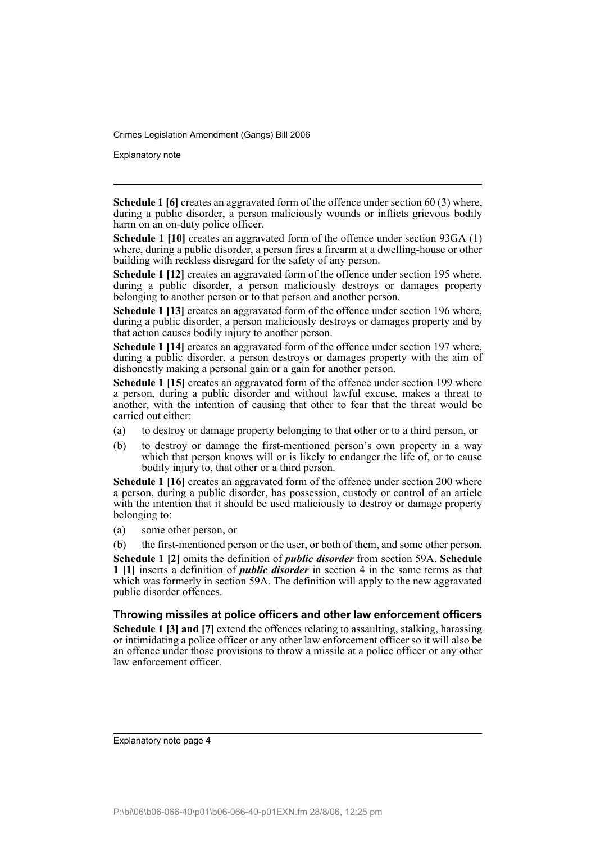Explanatory note

**Schedule 1 [6]** creates an aggravated form of the offence under section 60 (3) where, during a public disorder, a person maliciously wounds or inflicts grievous bodily harm on an on-duty police officer.

**Schedule 1 [10]** creates an aggravated form of the offence under section 93GA (1) where, during a public disorder, a person fires a firearm at a dwelling-house or other building with reckless disregard for the safety of any person.

**Schedule 1 [12]** creates an aggravated form of the offence under section 195 where, during a public disorder, a person maliciously destroys or damages property belonging to another person or to that person and another person.

**Schedule 1 [13]** creates an aggravated form of the offence under section 196 where, during a public disorder, a person maliciously destroys or damages property and by that action causes bodily injury to another person.

**Schedule 1 [14]** creates an aggravated form of the offence under section 197 where, during a public disorder, a person destroys or damages property with the aim of dishonestly making a personal gain or a gain for another person.

**Schedule 1 [15]** creates an aggravated form of the offence under section 199 where a person, during a public disorder and without lawful excuse, makes a threat to another, with the intention of causing that other to fear that the threat would be carried out either:

- (a) to destroy or damage property belonging to that other or to a third person, or
- (b) to destroy or damage the first-mentioned person's own property in a way which that person knows will or is likely to endanger the life of, or to cause bodily injury to, that other or a third person.

**Schedule 1 [16]** creates an aggravated form of the offence under section 200 where a person, during a public disorder, has possession, custody or control of an article with the intention that it should be used maliciously to destroy or damage property belonging to:

(a) some other person, or

(b) the first-mentioned person or the user, or both of them, and some other person. **Schedule 1 [2]** omits the definition of *public disorder* from section 59A. **Schedule 1 [1]** inserts a definition of *public disorder* in section 4 in the same terms as that which was formerly in section 59A. The definition will apply to the new aggravated public disorder offences.

### **Throwing missiles at police officers and other law enforcement officers**

**Schedule 1 [3] and [7]** extend the offences relating to assaulting, stalking, harassing or intimidating a police officer or any other law enforcement officer so it will also be an offence under those provisions to throw a missile at a police officer or any other law enforcement officer.

Explanatory note page 4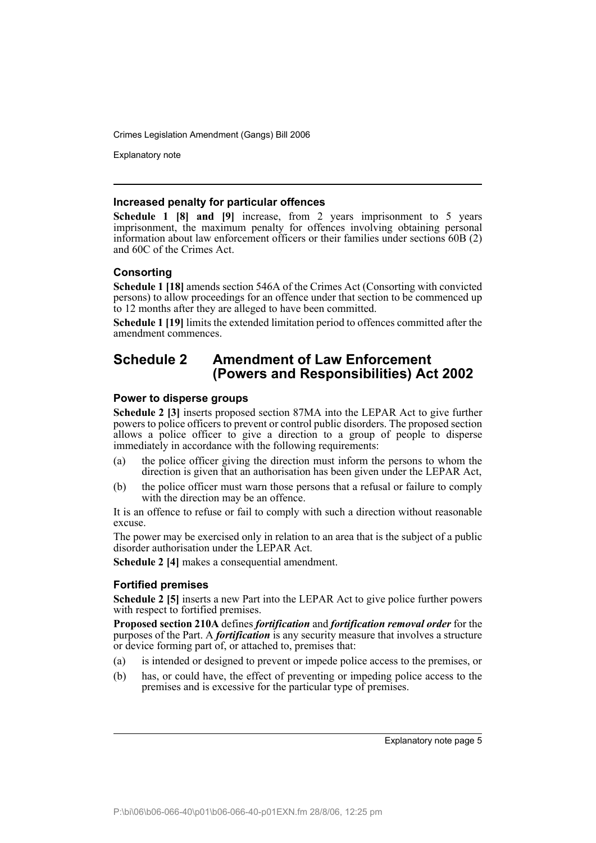Explanatory note

### **Increased penalty for particular offences**

**Schedule 1 [8] and [9]** increase, from 2 years imprisonment to 5 years imprisonment, the maximum penalty for offences involving obtaining personal information about law enforcement officers or their families under sections 60B (2) and 60C of the Crimes Act.

### **Consorting**

**Schedule 1 [18]** amends section 546A of the Crimes Act (Consorting with convicted persons) to allow proceedings for an offence under that section to be commenced up to 12 months after they are alleged to have been committed.

**Schedule 1 [19]** limits the extended limitation period to offences committed after the amendment commences.

### **Schedule 2 Amendment of Law Enforcement (Powers and Responsibilities) Act 2002**

### **Power to disperse groups**

**Schedule 2 [3]** inserts proposed section 87MA into the LEPAR Act to give further powers to police officers to prevent or control public disorders. The proposed section allows a police officer to give a direction to a group of people to disperse immediately in accordance with the following requirements:

- (a) the police officer giving the direction must inform the persons to whom the direction is given that an authorisation has been given under the LEPAR Act,
- (b) the police officer must warn those persons that a refusal or failure to comply with the direction may be an offence.

It is an offence to refuse or fail to comply with such a direction without reasonable excuse.

The power may be exercised only in relation to an area that is the subject of a public disorder authorisation under the LEPAR Act.

**Schedule 2 [4]** makes a consequential amendment.

### **Fortified premises**

**Schedule 2 [5]** inserts a new Part into the LEPAR Act to give police further powers with respect to fortified premises.

**Proposed section 210A** defines *fortification* and *fortification removal order* for the purposes of the Part. A *fortification* is any security measure that involves a structure or device forming part of, or attached to, premises that:

- (a) is intended or designed to prevent or impede police access to the premises, or
- (b) has, or could have, the effect of preventing or impeding police access to the premises and is excessive for the particular type of premises.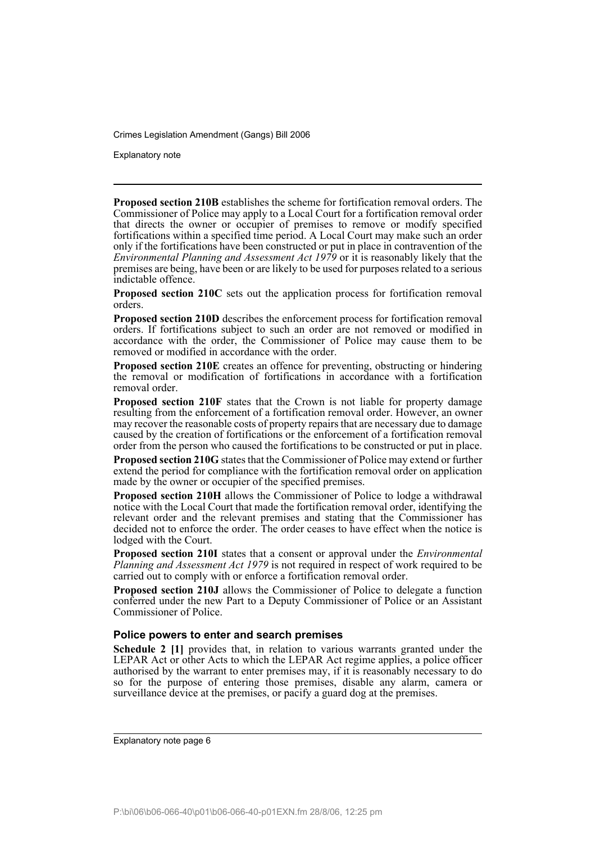Explanatory note

**Proposed section 210B** establishes the scheme for fortification removal orders. The Commissioner of Police may apply to a Local Court for a fortification removal order that directs the owner or occupier of premises to remove or modify specified fortifications within a specified time period. A Local Court may make such an order only if the fortifications have been constructed or put in place in contravention of the *Environmental Planning and Assessment Act 1979* or it is reasonably likely that the premises are being, have been or are likely to be used for purposes related to a serious indictable offence.

**Proposed section 210C** sets out the application process for fortification removal orders.

**Proposed section 210D** describes the enforcement process for fortification removal orders. If fortifications subject to such an order are not removed or modified in accordance with the order, the Commissioner of Police may cause them to be removed or modified in accordance with the order.

**Proposed section 210E** creates an offence for preventing, obstructing or hindering the removal or modification of fortifications in accordance with a fortification removal order.

**Proposed section 210F** states that the Crown is not liable for property damage resulting from the enforcement of a fortification removal order. However, an owner may recover the reasonable costs of property repairs that are necessary due to damage caused by the creation of fortifications or the enforcement of a fortification removal order from the person who caused the fortifications to be constructed or put in place.

**Proposed section 210G** states that the Commissioner of Police may extend or further extend the period for compliance with the fortification removal order on application made by the owner or occupier of the specified premises.

**Proposed section 210H** allows the Commissioner of Police to lodge a withdrawal notice with the Local Court that made the fortification removal order, identifying the relevant order and the relevant premises and stating that the Commissioner has decided not to enforce the order. The order ceases to have effect when the notice is lodged with the Court.

**Proposed section 210I** states that a consent or approval under the *Environmental Planning and Assessment Act 1979* is not required in respect of work required to be carried out to comply with or enforce a fortification removal order.

**Proposed section 210J** allows the Commissioner of Police to delegate a function conferred under the new Part to a Deputy Commissioner of Police or an Assistant Commissioner of Police.

### **Police powers to enter and search premises**

**Schedule 2** [1] provides that, in relation to various warrants granted under the LEPAR Act or other Acts to which the LEPAR Act regime applies, a police officer authorised by the warrant to enter premises may, if it is reasonably necessary to do so for the purpose of entering those premises, disable any alarm, camera or surveillance device at the premises, or pacify a guard dog at the premises.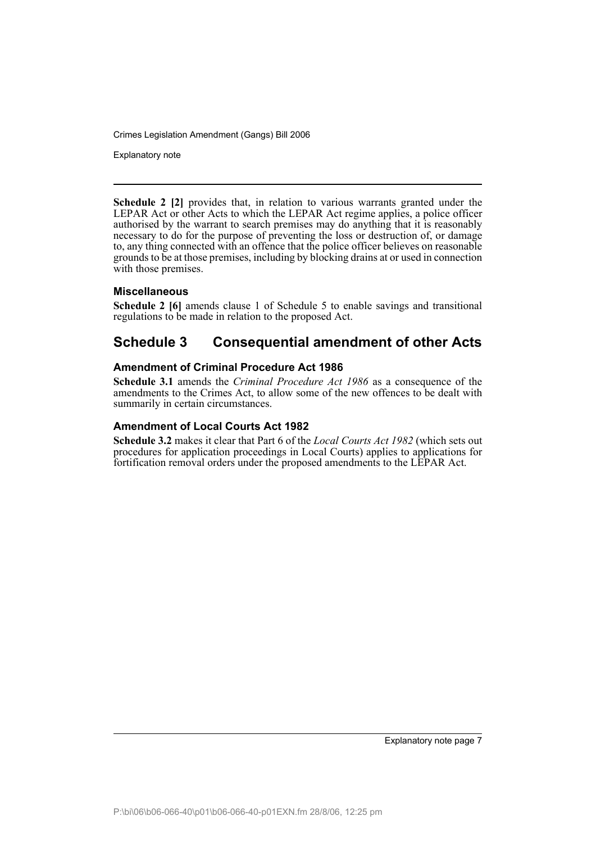Explanatory note

**Schedule 2 [2]** provides that, in relation to various warrants granted under the LEPAR Act or other Acts to which the LEPAR Act regime applies, a police officer authorised by the warrant to search premises may do anything that it is reasonably necessary to do for the purpose of preventing the loss or destruction of, or damage to, any thing connected with an offence that the police officer believes on reasonable grounds to be at those premises, including by blocking drains at or used in connection with those premises.

### **Miscellaneous**

**Schedule 2 [6]** amends clause 1 of Schedule 5 to enable savings and transitional regulations to be made in relation to the proposed Act.

## **Schedule 3 Consequential amendment of other Acts**

### **Amendment of Criminal Procedure Act 1986**

**Schedule 3.1** amends the *Criminal Procedure Act 1986* as a consequence of the amendments to the Crimes Act, to allow some of the new offences to be dealt with summarily in certain circumstances.

### **Amendment of Local Courts Act 1982**

**Schedule 3.2** makes it clear that Part 6 of the *Local Courts Act 1982* (which sets out procedures for application proceedings in Local Courts) applies to applications for fortification removal orders under the proposed amendments to the LEPAR Act.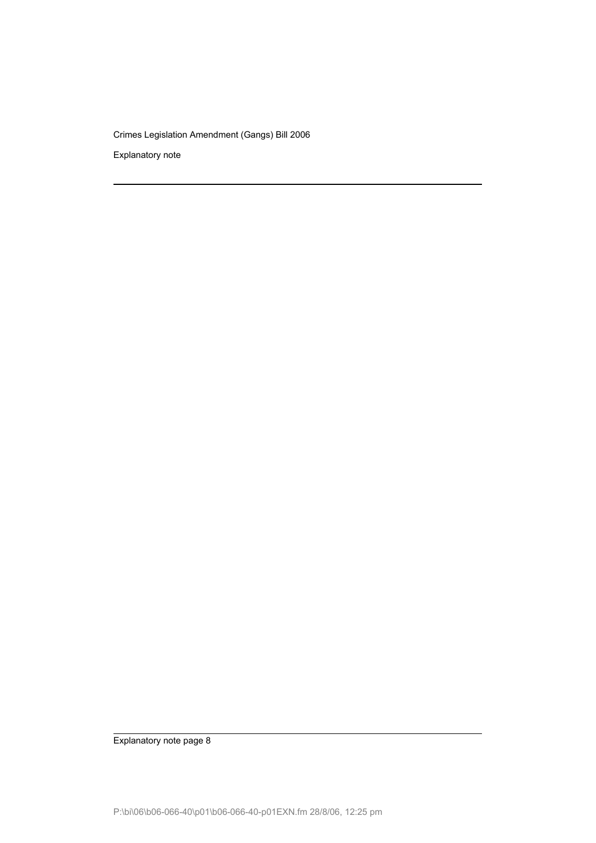Explanatory note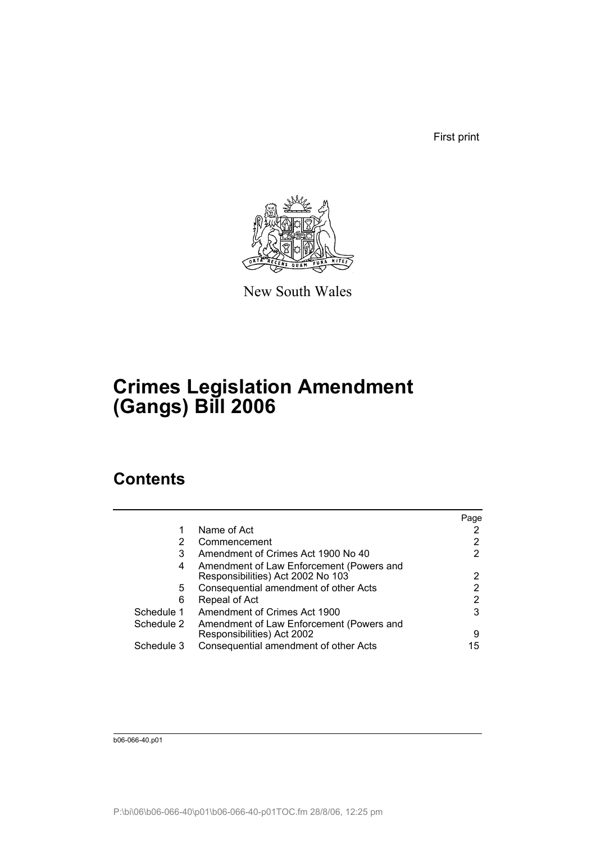First print



New South Wales

# **Crimes Legislation Amendment (Gangs) Bill 2006**

## **Contents**

|            |                                                                               | Page |
|------------|-------------------------------------------------------------------------------|------|
|            | Name of Act                                                                   |      |
| 2          | Commencement                                                                  |      |
| 3          | Amendment of Crimes Act 1900 No 40                                            | 2    |
| 4          | Amendment of Law Enforcement (Powers and<br>Responsibilities) Act 2002 No 103 | 2    |
| 5          | Consequential amendment of other Acts                                         | 2    |
| 6          | Repeal of Act                                                                 | 2    |
| Schedule 1 | Amendment of Crimes Act 1900                                                  | 3    |
| Schedule 2 | Amendment of Law Enforcement (Powers and                                      |      |
|            | Responsibilities) Act 2002                                                    | 9    |
| Schedule 3 | Consequential amendment of other Acts                                         | 15   |

b06-066-40.p01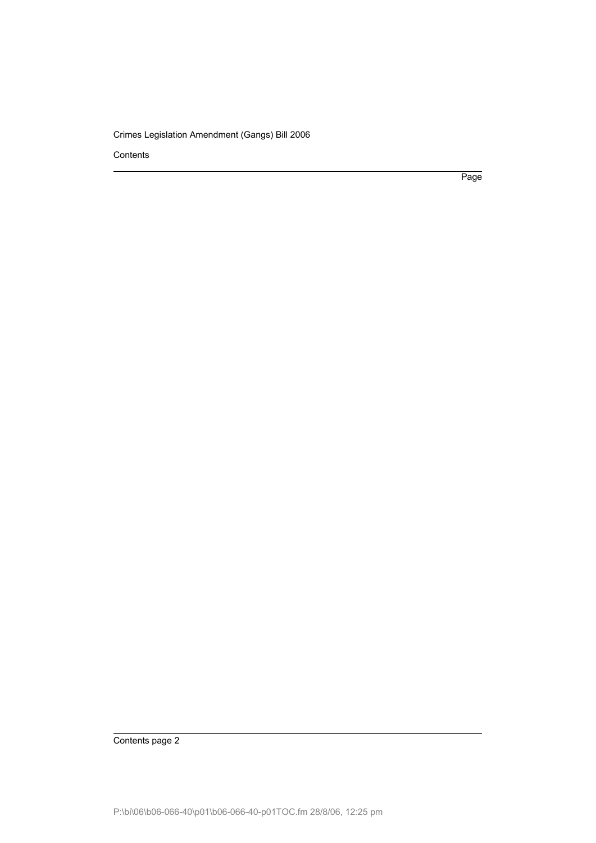Contents

Page

Contents page 2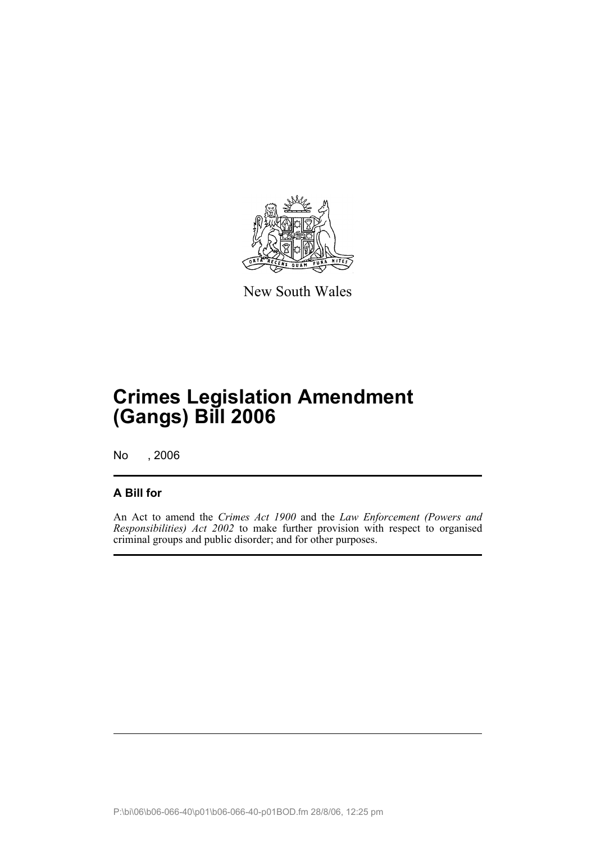

New South Wales

# **Crimes Legislation Amendment (Gangs) Bill 2006**

No , 2006

## **A Bill for**

An Act to amend the *Crimes Act 1900* and the *Law Enforcement (Powers and Responsibilities) Act 2002* to make further provision with respect to organised criminal groups and public disorder; and for other purposes.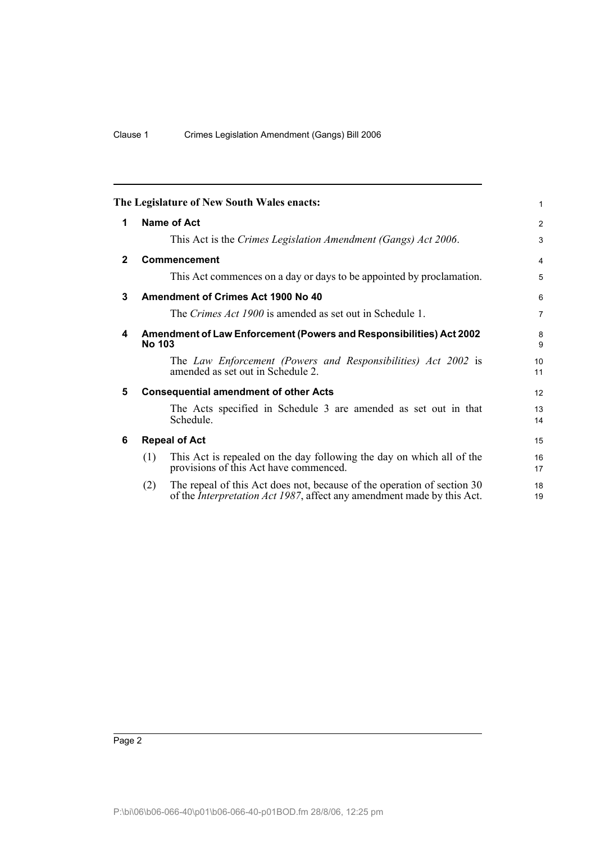<span id="page-11-5"></span><span id="page-11-4"></span><span id="page-11-3"></span><span id="page-11-2"></span><span id="page-11-1"></span><span id="page-11-0"></span>

|              |               | The Legislature of New South Wales enacts:                                                                                                                | 1              |
|--------------|---------------|-----------------------------------------------------------------------------------------------------------------------------------------------------------|----------------|
| 1            |               | <b>Name of Act</b>                                                                                                                                        | 2              |
|              |               | This Act is the Crimes Legislation Amendment (Gangs) Act 2006.                                                                                            | 3              |
| $\mathbf{2}$ |               | Commencement                                                                                                                                              | $\overline{4}$ |
|              |               | This Act commences on a day or days to be appointed by proclamation.                                                                                      | 5              |
| 3            |               | <b>Amendment of Crimes Act 1900 No 40</b>                                                                                                                 | 6              |
|              |               | The <i>Crimes Act 1900</i> is amended as set out in Schedule 1.                                                                                           | $\overline{7}$ |
| 4            | <b>No 103</b> | Amendment of Law Enforcement (Powers and Responsibilities) Act 2002                                                                                       | 8<br>9         |
|              |               | The Law Enforcement (Powers and Responsibilities) Act 2002 is<br>amended as set out in Schedule 2.                                                        | 10<br>11       |
| 5            |               | <b>Consequential amendment of other Acts</b>                                                                                                              | 12             |
|              |               | The Acts specified in Schedule 3 are amended as set out in that<br>Schedule.                                                                              | 13<br>14       |
| 6            |               | <b>Repeal of Act</b>                                                                                                                                      | 15             |
|              | (1)           | This Act is repealed on the day following the day on which all of the<br>provisions of this Act have commenced.                                           | 16<br>17       |
|              | (2)           | The repeal of this Act does not, because of the operation of section 30<br>of the <i>Interpretation Act 1987</i> , affect any amendment made by this Act. | 18<br>19       |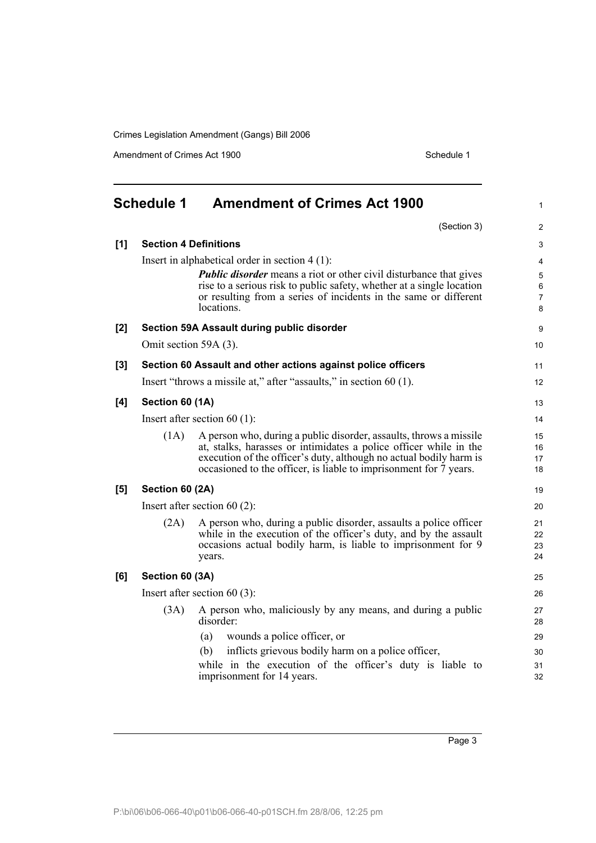Amendment of Crimes Act 1900 Schedule 1

<span id="page-12-0"></span>

|     | <b>Schedule 1</b>            | <b>Amendment of Crimes Act 1900</b>                                                                                                                                                                                                                                                      | $\mathbf{1}$                       |
|-----|------------------------------|------------------------------------------------------------------------------------------------------------------------------------------------------------------------------------------------------------------------------------------------------------------------------------------|------------------------------------|
|     |                              | (Section 3)                                                                                                                                                                                                                                                                              | $\overline{2}$                     |
| [1] | <b>Section 4 Definitions</b> |                                                                                                                                                                                                                                                                                          | 3                                  |
|     |                              | Insert in alphabetical order in section $4(1)$ :<br><b>Public disorder</b> means a riot or other civil disturbance that gives<br>rise to a serious risk to public safety, whether at a single location<br>or resulting from a series of incidents in the same or different<br>locations. | 4<br>5<br>6<br>$\overline{7}$<br>8 |
| [2] |                              | Section 59A Assault during public disorder                                                                                                                                                                                                                                               | 9                                  |
|     | Omit section 59A (3).        |                                                                                                                                                                                                                                                                                          | 10                                 |
| [3] |                              | Section 60 Assault and other actions against police officers                                                                                                                                                                                                                             | 11                                 |
|     |                              | Insert "throws a missile at," after "assaults," in section 60 (1).                                                                                                                                                                                                                       | 12                                 |
| [4] | Section 60 (1A)              |                                                                                                                                                                                                                                                                                          | 13                                 |
|     |                              | Insert after section $60$ (1):                                                                                                                                                                                                                                                           | 14                                 |
|     | (1A)                         | A person who, during a public disorder, assaults, throws a missile<br>at, stalks, harasses or intimidates a police officer while in the<br>execution of the officer's duty, although no actual bodily harm is<br>occasioned to the officer, is liable to imprisonment for 7 years.       | 15<br>16<br>17<br>18               |
| [5] | Section 60 (2A)              |                                                                                                                                                                                                                                                                                          | 19                                 |
|     |                              | Insert after section $60(2)$ :                                                                                                                                                                                                                                                           | 20                                 |
|     | (2A)                         | A person who, during a public disorder, assaults a police officer<br>while in the execution of the officer's duty, and by the assault<br>occasions actual bodily harm, is liable to imprisonment for 9<br>years.                                                                         | 21<br>22<br>23<br>24               |
| [6] | Section 60 (3A)              |                                                                                                                                                                                                                                                                                          | 25                                 |
|     |                              | Insert after section $60(3)$ :                                                                                                                                                                                                                                                           | 26                                 |
|     | (3A)                         | A person who, maliciously by any means, and during a public<br>disorder:                                                                                                                                                                                                                 | 27<br>28                           |
|     |                              | wounds a police officer, or<br>(a)                                                                                                                                                                                                                                                       | 29                                 |
|     |                              | inflicts grievous bodily harm on a police officer,<br>(b)<br>while in the execution of the officer's duty is liable to<br>imprisonment for 14 years.                                                                                                                                     | 30<br>31<br>32                     |

Page 3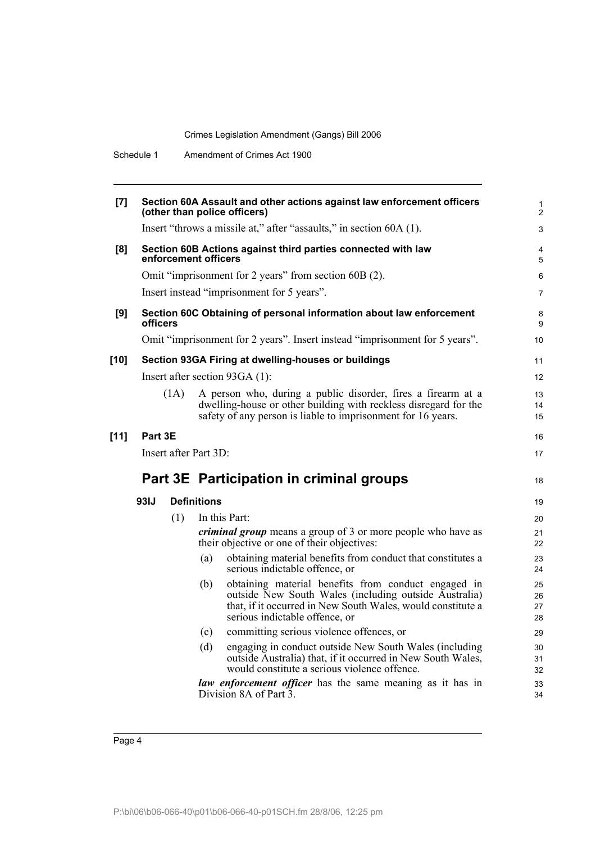Schedule 1 Amendment of Crimes Act 1900

| [7]    |          |      | Section 60A Assault and other actions against law enforcement officers<br>(other than police officers)                                                                                                               | 1<br>$\overline{2}$  |
|--------|----------|------|----------------------------------------------------------------------------------------------------------------------------------------------------------------------------------------------------------------------|----------------------|
|        |          |      | Insert "throws a missile at," after "assaults," in section 60A (1).                                                                                                                                                  | 3                    |
| [8]    |          |      | Section 60B Actions against third parties connected with law<br>enforcement officers                                                                                                                                 | 4<br>5               |
|        |          |      | Omit "imprisonment for 2 years" from section 60B (2).                                                                                                                                                                | 6                    |
|        |          |      | Insert instead "imprisonment for 5 years".                                                                                                                                                                           | $\overline{7}$       |
| [9]    | officers |      | Section 60C Obtaining of personal information about law enforcement                                                                                                                                                  | 8<br>9               |
|        |          |      | Omit "imprisonment for 2 years". Insert instead "imprisonment for 5 years".                                                                                                                                          | 10                   |
| $[10]$ |          |      | Section 93GA Firing at dwelling-houses or buildings                                                                                                                                                                  | 11                   |
|        |          |      | Insert after section 93GA (1):                                                                                                                                                                                       | 12                   |
|        |          | (1A) | A person who, during a public disorder, fires a firearm at a<br>dwelling-house or other building with reckless disregard for the<br>safety of any person is liable to imprisonment for 16 years.                     | 13<br>14<br>15       |
| $[11]$ | Part 3E  |      |                                                                                                                                                                                                                      | 16                   |
|        |          |      | Insert after Part 3D:                                                                                                                                                                                                | 17                   |
|        |          |      | Part 3E Participation in criminal groups                                                                                                                                                                             | 18                   |
|        | 93IJ     |      | <b>Definitions</b>                                                                                                                                                                                                   | 19                   |
|        |          | (1)  | In this Part:                                                                                                                                                                                                        | 20                   |
|        |          |      | <i>criminal group</i> means a group of 3 or more people who have as<br>their objective or one of their objectives:                                                                                                   | 21<br>22             |
|        |          |      | obtaining material benefits from conduct that constitutes a<br>(a)<br>serious indictable offence, or                                                                                                                 | 23<br>24             |
|        |          |      | obtaining material benefits from conduct engaged in<br>(b)<br>outside New South Wales (including outside Australia)<br>that, if it occurred in New South Wales, would constitute a<br>serious indictable offence, or | 25<br>26<br>27<br>28 |
|        |          |      | committing serious violence offences, or<br>(c)                                                                                                                                                                      | 29                   |
|        |          |      | (d)<br>engaging in conduct outside New South Wales (including<br>outside Australia) that, if it occurred in New South Wales,<br>would constitute a serious violence offence.                                         | 30<br>31<br>32       |
|        |          |      | law enforcement officer has the same meaning as it has in<br>Division 8A of Part 3.                                                                                                                                  | 33<br>34             |
|        |          |      |                                                                                                                                                                                                                      |                      |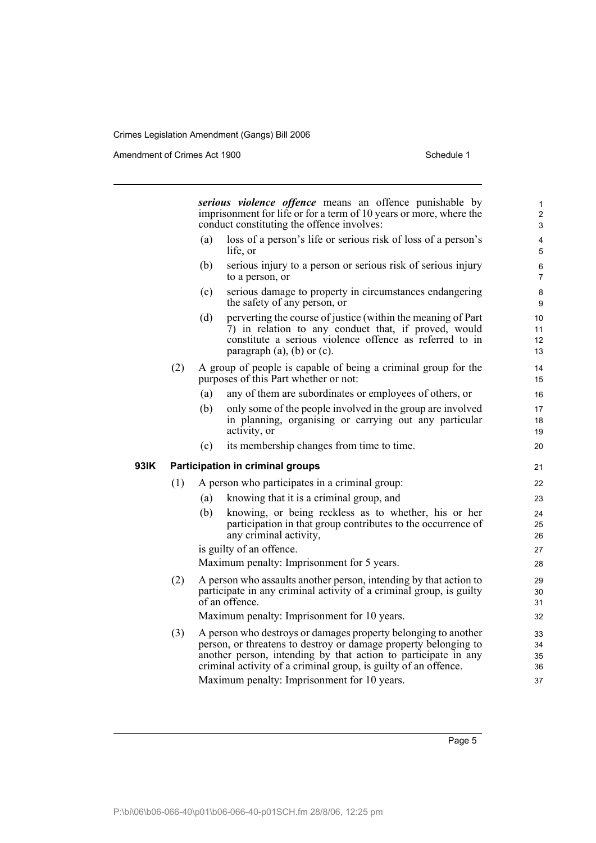Amendment of Crimes Act 1900 New York 1900 New York 1900 New York 1900 Schedule 1

*serious violence offence* means an offence punishable by imprisonment for life or for a term of 10 years or more, where the conduct constituting the offence involves: (a) loss of a person's life or serious risk of loss of a person's life, or (b) serious injury to a person or serious risk of serious injury to a person, or (c) serious damage to property in circumstances endangering the safety of any person, or (d) perverting the course of justice (within the meaning of Part 7) in relation to any conduct that, if proved, would constitute a serious violence offence as referred to in paragraph  $(a)$ ,  $(b)$  or  $(c)$ . (2) A group of people is capable of being a criminal group for the purposes of this Part whether or not: (a) any of them are subordinates or employees of others, or (b) only some of the people involved in the group are involved in planning, organising or carrying out any particular activity, or (c) its membership changes from time to time. **93IK Participation in criminal groups** (1) A person who participates in a criminal group: (a) knowing that it is a criminal group, and (b) knowing, or being reckless as to whether, his or her participation in that group contributes to the occurrence of any criminal activity, is guilty of an offence. Maximum penalty: Imprisonment for 5 years. (2) A person who assaults another person, intending by that action to participate in any criminal activity of a criminal group, is guilty of an offence. Maximum penalty: Imprisonment for 10 years. (3) A person who destroys or damages property belonging to another person, or threatens to destroy or damage property belonging to another person, intending by that action to participate in any criminal activity of a criminal group, is guilty of an offence. Maximum penalty: Imprisonment for 10 years. 1  $\overline{2}$ 3 4 5 6 7 8 9 10 11 12 13 14 15 16 17 18 19 20 21 22 23 24 25 26 27 28 29  $30$ 31 32 33  $34$ 35 36 37

Page 5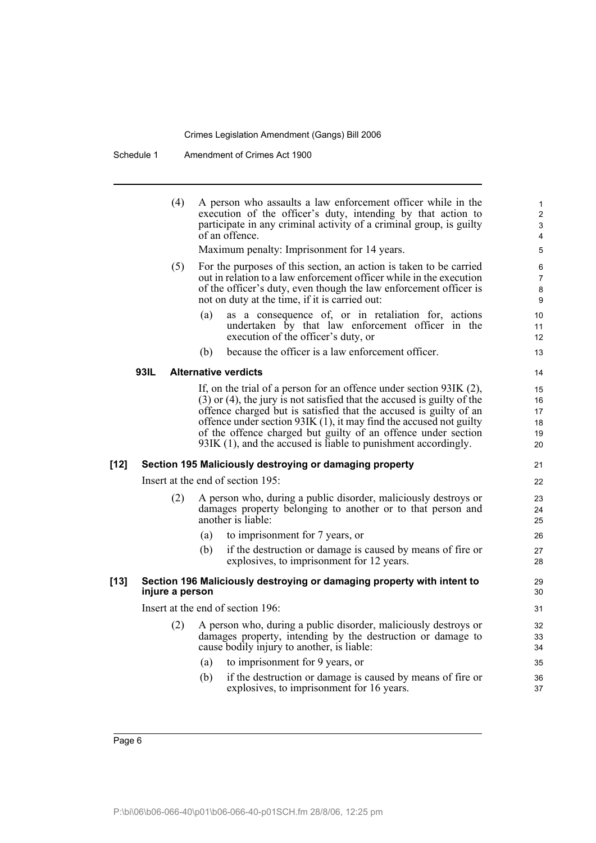Schedule 1 Amendment of Crimes Act 1900

|        |      | (4)             |     | A person who assaults a law enforcement officer while in the<br>execution of the officer's duty, intending by that action to<br>participate in any criminal activity of a criminal group, is guilty<br>of an offence.<br>Maximum penalty: Imprisonment for 14 years.                                                                                                                                                                | 1<br>2<br>3<br>4<br>5               |
|--------|------|-----------------|-----|-------------------------------------------------------------------------------------------------------------------------------------------------------------------------------------------------------------------------------------------------------------------------------------------------------------------------------------------------------------------------------------------------------------------------------------|-------------------------------------|
|        |      | (5)             |     | For the purposes of this section, an action is taken to be carried<br>out in relation to a law enforcement officer while in the execution<br>of the officer's duty, even though the law enforcement officer is<br>not on duty at the time, if it is carried out:                                                                                                                                                                    | 6<br>$\overline{7}$<br>$\bf 8$<br>9 |
|        |      |                 | (a) | as a consequence of, or in retaliation for, actions<br>undertaken by that law enforcement officer in the<br>execution of the officer's duty, or                                                                                                                                                                                                                                                                                     | 10<br>11<br>12                      |
|        |      |                 | (b) | because the officer is a law enforcement officer.                                                                                                                                                                                                                                                                                                                                                                                   | 13                                  |
|        | 93IL |                 |     | <b>Alternative verdicts</b>                                                                                                                                                                                                                                                                                                                                                                                                         | 14                                  |
|        |      |                 |     | If, on the trial of a person for an offence under section $93IK(2)$ ,<br>$(3)$ or $(4)$ , the jury is not satisfied that the accused is guilty of the<br>offence charged but is satisfied that the accused is guilty of an<br>offence under section 93IK (1), it may find the accused not guilty<br>of the offence charged but guilty of an offence under section<br>93IK (1), and the accused is liable to punishment accordingly. | 15<br>16<br>17<br>18<br>19<br>20    |
| $[12]$ |      |                 |     | Section 195 Maliciously destroying or damaging property                                                                                                                                                                                                                                                                                                                                                                             | 21                                  |
|        |      |                 |     | Insert at the end of section 195:                                                                                                                                                                                                                                                                                                                                                                                                   | 22                                  |
|        |      | (2)             |     | A person who, during a public disorder, maliciously destroys or<br>damages property belonging to another or to that person and<br>another is liable:                                                                                                                                                                                                                                                                                | 23<br>24<br>25                      |
|        |      |                 | (a) | to imprisonment for 7 years, or                                                                                                                                                                                                                                                                                                                                                                                                     | 26                                  |
|        |      |                 | (b) | if the destruction or damage is caused by means of fire or<br>explosives, to imprisonment for 12 years.                                                                                                                                                                                                                                                                                                                             | 27<br>28                            |
| [13]   |      | injure a person |     | Section 196 Maliciously destroying or damaging property with intent to                                                                                                                                                                                                                                                                                                                                                              | 29<br>30                            |
|        |      |                 |     | Insert at the end of section 196:                                                                                                                                                                                                                                                                                                                                                                                                   | 31                                  |
|        |      | (2)             |     | A person who, during a public disorder, maliciously destroys or<br>damages property, intending by the destruction or damage to<br>cause bodily injury to another, is liable:                                                                                                                                                                                                                                                        | 32<br>33<br>34                      |
|        |      |                 | (a) | to imprisonment for 9 years, or                                                                                                                                                                                                                                                                                                                                                                                                     | 35                                  |
|        |      |                 | (b) | if the destruction or damage is caused by means of fire or<br>explosives, to imprisonment for 16 years.                                                                                                                                                                                                                                                                                                                             | 36<br>37                            |
|        |      |                 |     |                                                                                                                                                                                                                                                                                                                                                                                                                                     |                                     |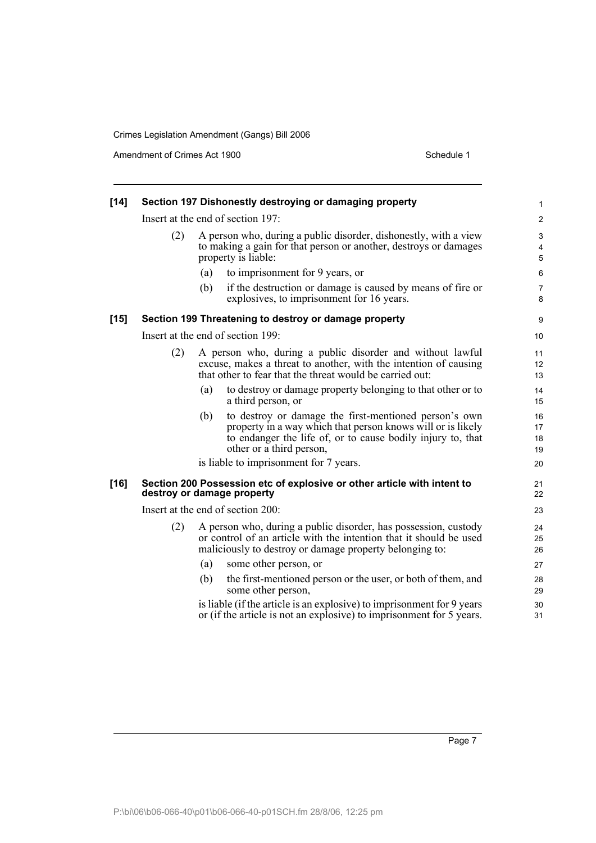Amendment of Crimes Act 1900 Schedule 1

| $[14]$ |     | Section 197 Dishonestly destroying or damaging property                                                                                                                                                                | 1                    |
|--------|-----|------------------------------------------------------------------------------------------------------------------------------------------------------------------------------------------------------------------------|----------------------|
|        |     | Insert at the end of section 197:                                                                                                                                                                                      | $\overline{2}$       |
|        | (2) | A person who, during a public disorder, dishonestly, with a view<br>to making a gain for that person or another, destroys or damages<br>property is liable:                                                            | 3<br>4<br>5          |
|        |     | (a)<br>to imprisonment for 9 years, or                                                                                                                                                                                 | 6                    |
|        |     | (b)<br>if the destruction or damage is caused by means of fire or<br>explosives, to imprisonment for 16 years.                                                                                                         | $\overline{7}$<br>8  |
| $[15]$ |     | Section 199 Threatening to destroy or damage property                                                                                                                                                                  | 9                    |
|        |     | Insert at the end of section 199:                                                                                                                                                                                      | 10                   |
|        | (2) | A person who, during a public disorder and without lawful<br>excuse, makes a threat to another, with the intention of causing<br>that other to fear that the threat would be carried out:                              | 11<br>12<br>13       |
|        |     | to destroy or damage property belonging to that other or to<br>(a)<br>a third person, or                                                                                                                               | 14<br>15             |
|        |     | (b)<br>to destroy or damage the first-mentioned person's own<br>property in a way which that person knows will or is likely<br>to endanger the life of, or to cause bodily injury to, that<br>other or a third person, | 16<br>17<br>18<br>19 |
|        |     | is liable to imprisonment for 7 years.                                                                                                                                                                                 | 20                   |
| $[16]$ |     | Section 200 Possession etc of explosive or other article with intent to<br>destroy or damage property                                                                                                                  | 21<br>22             |
|        |     | Insert at the end of section 200:                                                                                                                                                                                      | 23                   |
|        | (2) | A person who, during a public disorder, has possession, custody<br>or control of an article with the intention that it should be used<br>maliciously to destroy or damage property belonging to:                       | 24<br>25<br>26       |
|        |     | (a)<br>some other person, or                                                                                                                                                                                           | 27                   |
|        |     | (b)<br>the first-mentioned person or the user, or both of them, and<br>some other person,                                                                                                                              | 28<br>29             |
|        |     | is liable (if the article is an explosive) to imprisonment for 9 years<br>or (if the article is not an explosive) to imprisonment for 5 years.                                                                         | 30<br>31             |

Page 7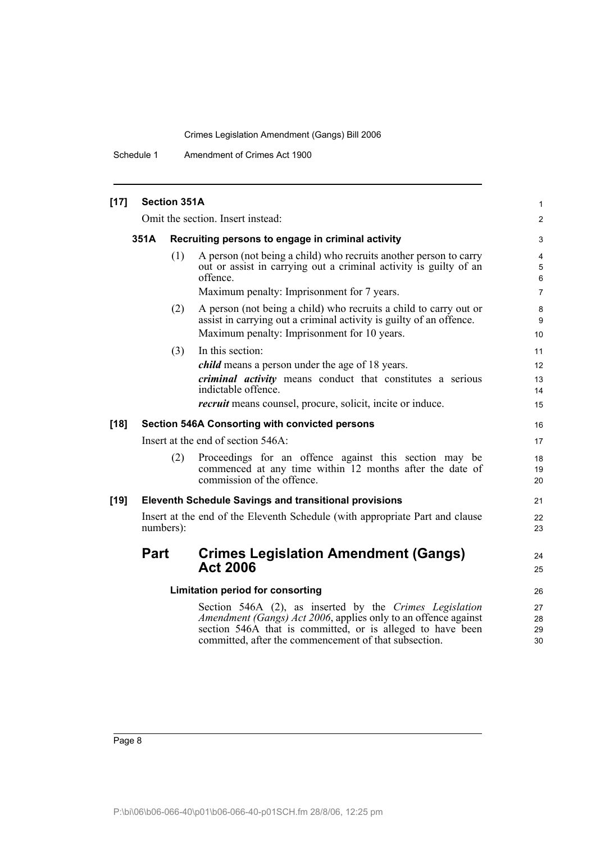Schedule 1 Amendment of Crimes Act 1900

| $[17]$ |             | <b>Section 351A</b> |                                                                                                                                                                                                                                                  | $\mathbf{1}$                                         |
|--------|-------------|---------------------|--------------------------------------------------------------------------------------------------------------------------------------------------------------------------------------------------------------------------------------------------|------------------------------------------------------|
|        |             |                     | Omit the section. Insert instead:                                                                                                                                                                                                                | $\overline{2}$                                       |
|        | 351A        |                     | Recruiting persons to engage in criminal activity                                                                                                                                                                                                | 3                                                    |
|        |             | (1)                 | A person (not being a child) who recruits another person to carry<br>out or assist in carrying out a criminal activity is guilty of an<br>offence.<br>Maximum penalty: Imprisonment for 7 years.                                                 | $\overline{4}$<br>$\mathbf 5$<br>6<br>$\overline{7}$ |
|        |             | (2)                 | A person (not being a child) who recruits a child to carry out or<br>assist in carrying out a criminal activity is guilty of an offence.<br>Maximum penalty: Imprisonment for 10 years.                                                          | 8<br>9<br>10                                         |
|        |             | (3)                 | In this section:<br><i>child</i> means a person under the age of 18 years.<br><i>criminal activity</i> means conduct that constitutes a serious<br>indictable offence.<br><i>recruit</i> means counsel, procure, solicit, incite or induce.      | 11<br>12<br>13<br>14<br>15                           |
| $[18]$ |             |                     | <b>Section 546A Consorting with convicted persons</b>                                                                                                                                                                                            | 16                                                   |
|        |             |                     | Insert at the end of section 546A:                                                                                                                                                                                                               | 17                                                   |
|        |             | (2)                 | Proceedings for an offence against this section may be<br>commenced at any time within 12 months after the date of<br>commission of the offence.                                                                                                 | 18<br>19<br>20                                       |
| $[19]$ |             |                     | <b>Eleventh Schedule Savings and transitional provisions</b>                                                                                                                                                                                     | 21                                                   |
|        | numbers):   |                     | Insert at the end of the Eleventh Schedule (with appropriate Part and clause                                                                                                                                                                     | 22<br>23                                             |
|        | <b>Part</b> |                     | <b>Crimes Legislation Amendment (Gangs)</b><br><b>Act 2006</b>                                                                                                                                                                                   | 24<br>25                                             |
|        |             |                     | <b>Limitation period for consorting</b>                                                                                                                                                                                                          | 26                                                   |
|        |             |                     | Section 546A (2), as inserted by the Crimes Legislation<br>Amendment (Gangs) Act 2006, applies only to an offence against<br>section 546A that is committed, or is alleged to have been<br>committed, after the commencement of that subsection. | 27<br>28<br>29<br>30                                 |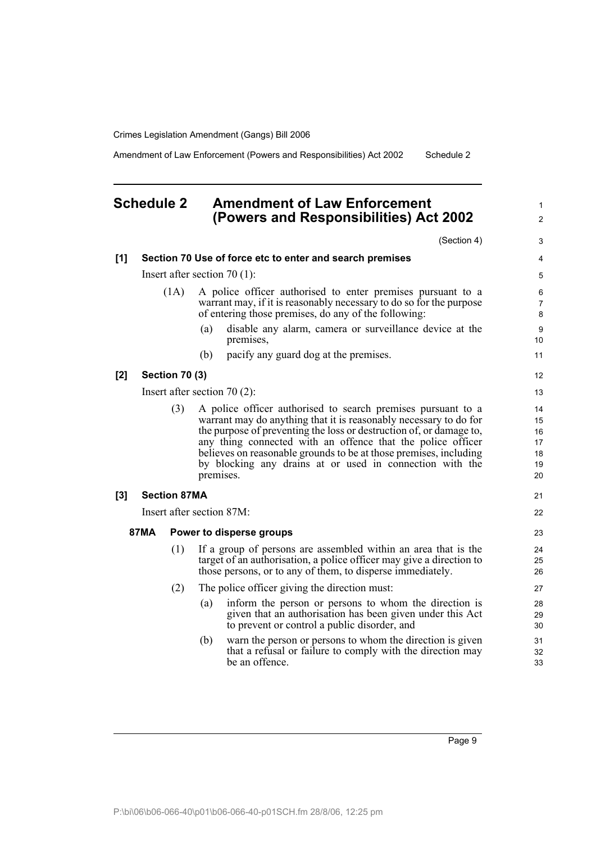Amendment of Law Enforcement (Powers and Responsibilities) Act 2002 Schedule 2

### <span id="page-18-0"></span>**Schedule 2 Amendment of Law Enforcement (Powers and Responsibilities) Act 2002**

(Section 4) **[1] Section 70 Use of force etc to enter and search premises** Insert after section 70 (1): (1A) A police officer authorised to enter premises pursuant to a warrant may, if it is reasonably necessary to do so for the purpose of entering those premises, do any of the following: (a) disable any alarm, camera or surveillance device at the premises, (b) pacify any guard dog at the premises. **[2] Section 70 (3)** Insert after section 70 (2): (3) A police officer authorised to search premises pursuant to a warrant may do anything that it is reasonably necessary to do for the purpose of preventing the loss or destruction of, or damage to, any thing connected with an offence that the police officer believes on reasonable grounds to be at those premises, including by blocking any drains at or used in connection with the premises. **[3] Section 87MA** Insert after section 87M: **87MA Power to disperse groups** (1) If a group of persons are assembled within an area that is the target of an authorisation, a police officer may give a direction to those persons, or to any of them, to disperse immediately. (2) The police officer giving the direction must: (a) inform the person or persons to whom the direction is given that an authorisation has been given under this Act to prevent or control a public disorder, and (b) warn the person or persons to whom the direction is given that a refusal or failure to comply with the direction may be an offence. 3 4 5 6 7 8 9 10 11 12 13 14 15 16 17 18 19 20 21  $22$ 23 24 25 26 27 28 29 30 31 32 33

Page 9

1  $\mathfrak{p}$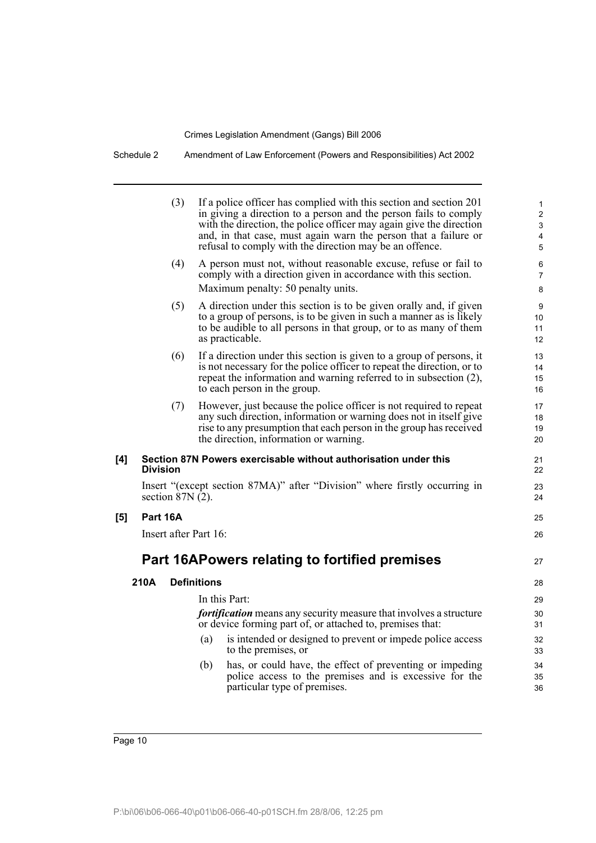Schedule 2 Amendment of Law Enforcement (Powers and Responsibilities) Act 2002

|                     | (3)                   | If a police officer has complied with this section and section 201<br>in giving a direction to a person and the person fails to comply<br>with the direction, the police officer may again give the direction<br>and, in that case, must again warn the person that a failure or<br>refusal to comply with the direction may be an offence. | 1<br>$\overline{2}$<br>3<br>4<br>5 |
|---------------------|-----------------------|---------------------------------------------------------------------------------------------------------------------------------------------------------------------------------------------------------------------------------------------------------------------------------------------------------------------------------------------|------------------------------------|
|                     | (4)                   | A person must not, without reasonable excuse, refuse or fail to<br>comply with a direction given in accordance with this section.<br>Maximum penalty: 50 penalty units.                                                                                                                                                                     | 6<br>$\overline{7}$<br>8           |
|                     | (5)                   | A direction under this section is to be given orally and, if given<br>to a group of persons, is to be given in such a manner as is likely<br>to be audible to all persons in that group, or to as many of them<br>as practicable.                                                                                                           | 9<br>10<br>11<br>12                |
|                     | (6)                   | If a direction under this section is given to a group of persons, it<br>is not necessary for the police officer to repeat the direction, or to<br>repeat the information and warning referred to in subsection (2),<br>to each person in the group.                                                                                         | 13<br>14<br>15<br>16               |
|                     | (7)                   | However, just because the police officer is not required to repeat<br>any such direction, information or warning does not in itself give<br>rise to any presumption that each person in the group has received<br>the direction, information or warning.                                                                                    | 17<br>18<br>19<br>20               |
| [4]                 | <b>Division</b>       | Section 87N Powers exercisable without authorisation under this                                                                                                                                                                                                                                                                             | 21<br>22                           |
|                     | section $87N(2)$ .    | Insert "(except section 87MA)" after "Division" where firstly occurring in                                                                                                                                                                                                                                                                  | 23<br>24                           |
| $\bm{\mathsf{[5]}}$ | Part 16A              |                                                                                                                                                                                                                                                                                                                                             | 25                                 |
|                     | Insert after Part 16: |                                                                                                                                                                                                                                                                                                                                             | 26                                 |
|                     |                       | Part 16APowers relating to fortified premises                                                                                                                                                                                                                                                                                               | 27                                 |
|                     | 210A                  | <b>Definitions</b>                                                                                                                                                                                                                                                                                                                          | 28                                 |
|                     |                       | In this Part:                                                                                                                                                                                                                                                                                                                               | 29                                 |
|                     |                       | <i>fortification</i> means any security measure that involves a structure<br>or device forming part of, or attached to, premises that:                                                                                                                                                                                                      | 30<br>31                           |
|                     |                       | is intended or designed to prevent or impede police access<br>(a)<br>to the premises, or                                                                                                                                                                                                                                                    | 32<br>33                           |
|                     |                       | (b)<br>has, or could have, the effect of preventing or impeding<br>police access to the premises and is excessive for the<br>particular type of premises.                                                                                                                                                                                   | 34<br>35<br>36                     |

**[5] Part 16A**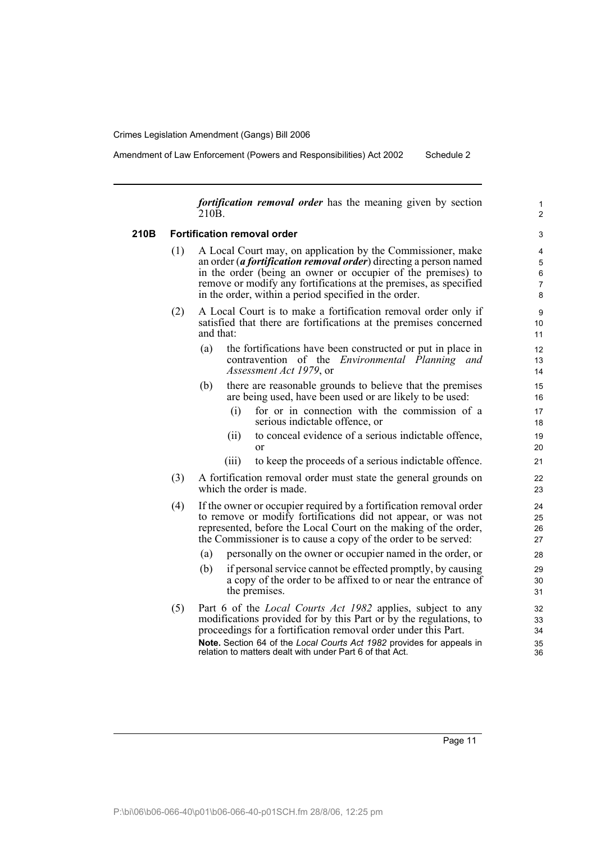Amendment of Law Enforcement (Powers and Responsibilities) Act 2002 Schedule 2

*fortification removal order* has the meaning given by section 210B.

#### **210B Fortification removal order**

- (1) A Local Court may, on application by the Commissioner, make an order (*a fortification removal order*) directing a person named in the order (being an owner or occupier of the premises) to remove or modify any fortifications at the premises, as specified in the order, within a period specified in the order.
- (2) A Local Court is to make a fortification removal order only if satisfied that there are fortifications at the premises concerned and that:
	- (a) the fortifications have been constructed or put in place in contravention of the *Environmental Planning and Assessment Act 1979*, or
	- (b) there are reasonable grounds to believe that the premises are being used, have been used or are likely to be used:
		- (i) for or in connection with the commission of a serious indictable offence, or
		- (ii) to conceal evidence of a serious indictable offence, or
		- (iii) to keep the proceeds of a serious indictable offence.
- (3) A fortification removal order must state the general grounds on which the order is made.
- (4) If the owner or occupier required by a fortification removal order to remove or modify fortifications did not appear, or was not represented, before the Local Court on the making of the order, the Commissioner is to cause a copy of the order to be served:
	- (a) personally on the owner or occupier named in the order, or
	- (b) if personal service cannot be effected promptly, by causing a copy of the order to be affixed to or near the entrance of the premises.
- (5) Part 6 of the *Local Courts Act 1982* applies, subject to any modifications provided for by this Part or by the regulations, to proceedings for a fortification removal order under this Part. **Note.** Section 64 of the *Local Courts Act 1982* provides for appeals in relation to matters dealt with under Part 6 of that Act.

Page 11

1  $\overline{2}$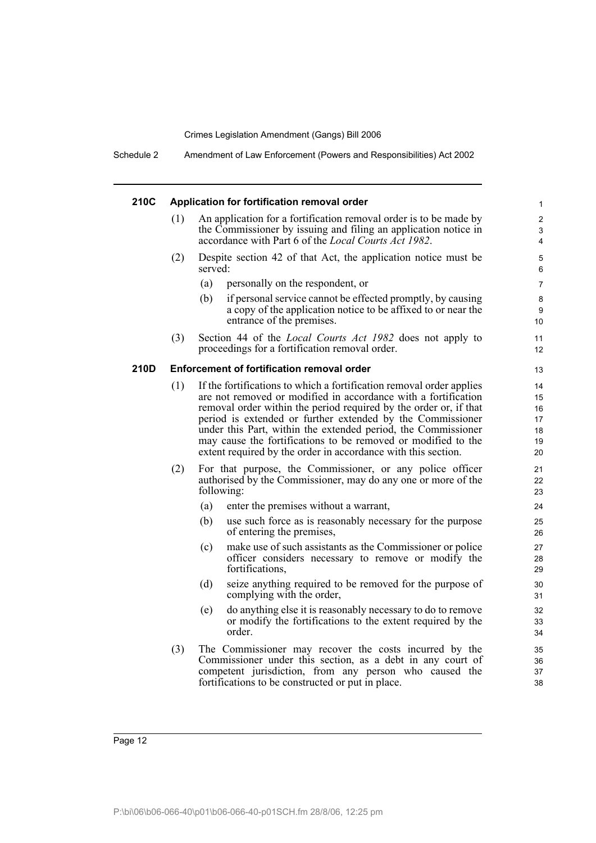Schedule 2 Amendment of Law Enforcement (Powers and Responsibilities) Act 2002

| 210C |     | Application for fortification removal order                                                                                                                                                                                                                                                                                                                                                                                                                                  | $\mathbf{1}$                           |
|------|-----|------------------------------------------------------------------------------------------------------------------------------------------------------------------------------------------------------------------------------------------------------------------------------------------------------------------------------------------------------------------------------------------------------------------------------------------------------------------------------|----------------------------------------|
|      | (1) | An application for a fortification removal order is to be made by<br>the Commissioner by issuing and filing an application notice in<br>accordance with Part 6 of the <i>Local Courts Act 1982</i> .                                                                                                                                                                                                                                                                         | 2<br>3<br>4                            |
|      | (2) | Despite section 42 of that Act, the application notice must be<br>served:                                                                                                                                                                                                                                                                                                                                                                                                    | 5<br>6                                 |
|      |     | (a)<br>personally on the respondent, or                                                                                                                                                                                                                                                                                                                                                                                                                                      | 7                                      |
|      |     | (b)<br>if personal service cannot be effected promptly, by causing<br>a copy of the application notice to be affixed to or near the<br>entrance of the premises.                                                                                                                                                                                                                                                                                                             | $\bf 8$<br>9<br>10                     |
|      | (3) | Section 44 of the <i>Local Courts Act 1982</i> does not apply to<br>proceedings for a fortification removal order.                                                                                                                                                                                                                                                                                                                                                           | 11<br>12                               |
| 210D |     | <b>Enforcement of fortification removal order</b>                                                                                                                                                                                                                                                                                                                                                                                                                            | 13                                     |
|      | (1) | If the fortifications to which a fortification removal order applies<br>are not removed or modified in accordance with a fortification<br>removal order within the period required by the order or, if that<br>period is extended or further extended by the Commissioner<br>under this Part, within the extended period, the Commissioner<br>may cause the fortifications to be removed or modified to the<br>extent required by the order in accordance with this section. | 14<br>15<br>16<br>17<br>18<br>19<br>20 |
|      | (2) | For that purpose, the Commissioner, or any police officer<br>authorised by the Commissioner, may do any one or more of the<br>following:                                                                                                                                                                                                                                                                                                                                     | 21<br>22<br>23                         |
|      |     | (a)<br>enter the premises without a warrant,                                                                                                                                                                                                                                                                                                                                                                                                                                 | 24                                     |
|      |     | (b)<br>use such force as is reasonably necessary for the purpose<br>of entering the premises,                                                                                                                                                                                                                                                                                                                                                                                | 25<br>26                               |
|      |     | make use of such assistants as the Commissioner or police<br>(c)<br>officer considers necessary to remove or modify the<br>fortifications.                                                                                                                                                                                                                                                                                                                                   | 27<br>28<br>29                         |
|      |     | (d)<br>seize anything required to be removed for the purpose of<br>complying with the order,                                                                                                                                                                                                                                                                                                                                                                                 | 30<br>31                               |
|      |     | do anything else it is reasonably necessary to do to remove<br>(e)<br>or modify the fortifications to the extent required by the<br>order.                                                                                                                                                                                                                                                                                                                                   | 32<br>33<br>34                         |
|      | (3) | The Commissioner may recover the costs incurred by the<br>Commissioner under this section, as a debt in any court of<br>competent jurisdiction, from any person who caused the<br>fortifications to be constructed or put in place.                                                                                                                                                                                                                                          | 35<br>36<br>37<br>38                   |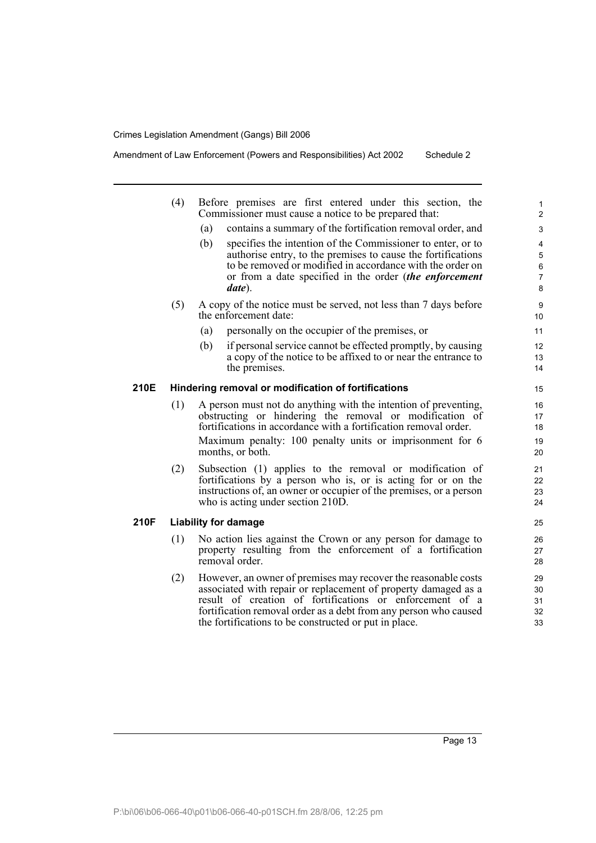| (4) |     | Before premises are first entered under this section, the   |
|-----|-----|-------------------------------------------------------------|
|     |     | Commissioner must cause a notice to be prepared that:       |
|     | (a) | contains a summary of the fortification removal order, and  |
|     | (b) | specifies the intention of the Commissioner to enter, or to |

- authorise entry, to the premises to cause the fortifications to be removed or modified in accordance with the order on or from a date specified in the order (*the enforcement date*).
- (5) A copy of the notice must be served, not less than 7 days before the enforcement date:
	- (a) personally on the occupier of the premises, or
	- (b) if personal service cannot be effected promptly, by causing a copy of the notice to be affixed to or near the entrance to the premises.

### **210E Hindering removal or modification of fortifications**

- (1) A person must not do anything with the intention of preventing, obstructing or hindering the removal or modification of fortifications in accordance with a fortification removal order. Maximum penalty: 100 penalty units or imprisonment for 6 months, or both.
- (2) Subsection (1) applies to the removal or modification of fortifications by a person who is, or is acting for or on the instructions of, an owner or occupier of the premises, or a person who is acting under section 210D.

### **210F Liability for damage**

- (1) No action lies against the Crown or any person for damage to property resulting from the enforcement of a fortification removal order.
- (2) However, an owner of premises may recover the reasonable costs associated with repair or replacement of property damaged as a result of creation of fortifications or enforcement of a fortification removal order as a debt from any person who caused the fortifications to be constructed or put in place.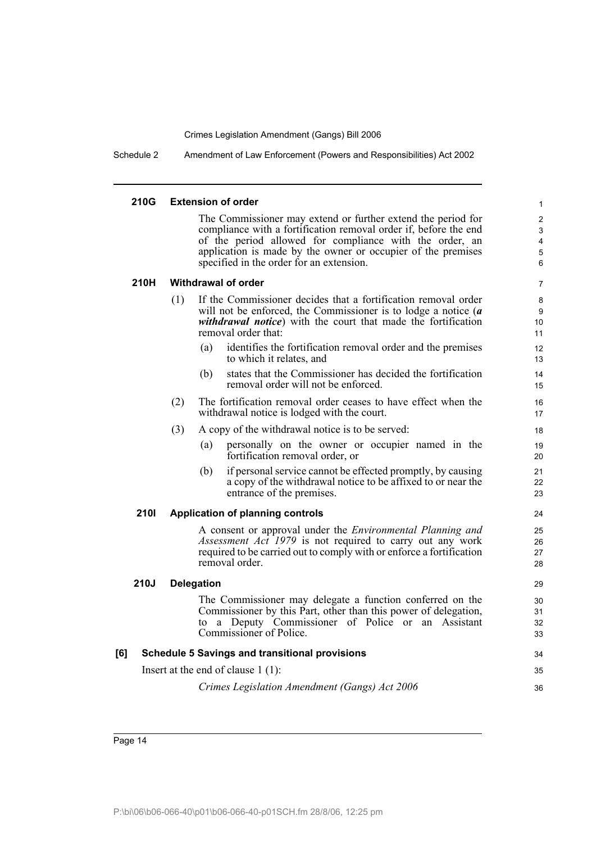Schedule 2 Amendment of Law Enforcement (Powers and Responsibilities) Act 2002

### **210G Extension of order**

The Commissioner may extend or further extend the period for compliance with a fortification removal order if, before the end of the period allowed for compliance with the order, an application is made by the owner or occupier of the premises specified in the order for an extension.

34 35 36

### **210H Withdrawal of order**

- (1) If the Commissioner decides that a fortification removal order will not be enforced, the Commissioner is to lodge a notice (*a withdrawal notice*) with the court that made the fortification removal order that:
	- (a) identifies the fortification removal order and the premises to which it relates, and
	- (b) states that the Commissioner has decided the fortification removal order will not be enforced.
- (2) The fortification removal order ceases to have effect when the withdrawal notice is lodged with the court.

#### (3) A copy of the withdrawal notice is to be served:

- (a) personally on the owner or occupier named in the fortification removal order, or
- (b) if personal service cannot be effected promptly, by causing a copy of the withdrawal notice to be affixed to or near the entrance of the premises.

### **210I Application of planning controls**

A consent or approval under the *Environmental Planning and Assessment Act 1979* is not required to carry out any work required to be carried out to comply with or enforce a fortification removal order.

#### **210J Delegation**

The Commissioner may delegate a function conferred on the Commissioner by this Part, other than this power of delegation, to a Deputy Commissioner of Police or an Assistant Commissioner of Police.

# **[6] Schedule 5 Savings and transitional provisions**

Insert at the end of clause 1 (1):

*Crimes Legislation Amendment (Gangs) Act 2006*